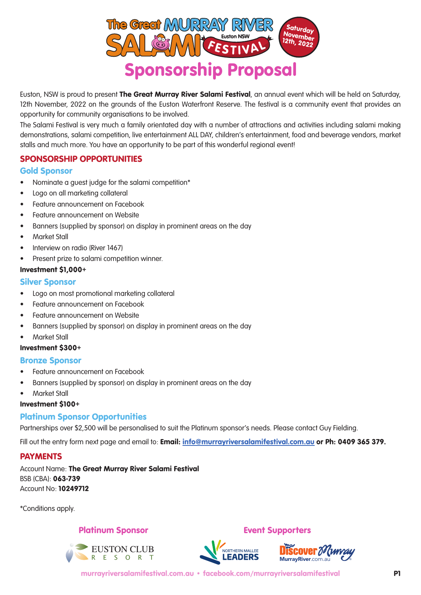

Euston, NSW is proud to present The Great Murray River Salami Festival, an annual event which will be held on Saturday, 12th November, 2022 on the grounds of the Euston Waterfront Reserve. The festival is a community event that provides an opportunity for community organisations to be involved.

The Salami Festival is very much a family orientated day with a number of attractions and activities including salami making demonstrations, salami competition, live entertainment ALL DAY, children's entertainment, food and beverage vendors, market stalls and much more. You have an opportunity to be part of this wonderful regional event!

# SPONSORSHIP OPPORTUNITIES

#### Gold Sponsor

- Nominate a guest judge for the salami competition\*
- Logo on all marketing collateral
- Feature announcement on Facebook
- Feature announcement on Website
- Banners (supplied by sponsor) on display in prominent areas on the day
- Market Stall
- Interview on radio (River 1467)
- Present prize to salami competition winner.

#### Investment \$1,000+

# Silver Sponsor

- Logo on most promotional marketing collateral
- Feature announcement on Facebook
- Feature announcement on Website
- Banners (supplied by sponsor) on display in prominent areas on the day
- Market Stall

#### Investment \$300+

#### Bronze Sponsor

- Feature announcement on Facebook
- Banners (supplied by sponsor) on display in prominent areas on the day
- Market Stall

# Investment \$100+

# Platinum Sponsor Opportunities

Partnerships over \$2,500 will be personalised to suit the Platinum sponsor's needs. Please contact Guy Fielding.

Fill out the entry form next page and email to: Email: **info@murrayriversalamifestival.com.au or Ph: 0409 365 379.** 

# **PAYMENTS**

Account Name: The Great Murray River Salami Festival BSB (CBA): 063-739 Account No: 10249712

\*Conditions apply.

# Platinum Sponsor **Event Supporters**

EUSTON CLUB





murrayriversalamifestival.com.au • facebook.com/murrayriversalamifestival P1